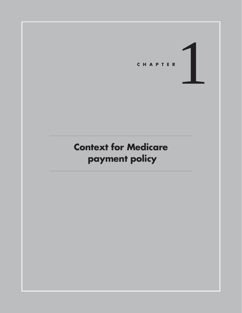

# **Context for Medicare payment policy**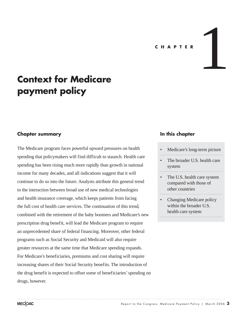#### **C H A P T E R**

1

# **Context for Medicare payment policy**

#### **Chapter summary**

The Medicare program faces powerful upward pressures on health spending that policymakers will find difficult to staunch. Health care spending has been rising much more rapidly than growth in national income for many decades, and all indications suggest that it will continue to do so into the future. Analysts attribute this general trend to the interaction between broad use of new medical technologies and health insurance coverage, which keeps patients from facing the full cost of health care services. The continuation of this trend, combined with the retirement of the baby boomers and Medicare's new prescription drug benefit, will lead the Medicare program to require an unprecedented share of federal financing. Moreover, other federal programs such as Social Security and Medicaid will also require greater resources at the same time that Medicare spending expands. For Medicare's beneficiaries, premiums and cost sharing will require increasing shares of their Social Security benefits. The introduction of the drug benefit is expected to offset some of beneficiaries' spending on drugs, however.

#### **In this chapter**

- Medicare's long-term picture
- The broader U.S. health care system
- The U.S. health care system compared with those of other countries
- Changing Medicare policy within the broader U.S. health care system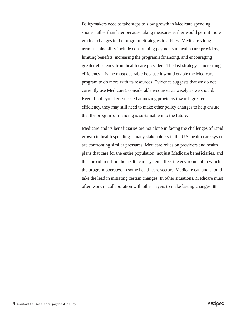Policymakers need to take steps to slow growth in Medicare spending sooner rather than later because taking measures earlier would permit more gradual changes to the program. Strategies to address Medicare's longterm sustainability include constraining payments to health care providers, limiting benefits, increasing the program's financing, and encouraging greater efficiency from health care providers. The last strategy—increasing efficiency—is the most desirable because it would enable the Medicare program to do more with its resources. Evidence suggests that we do not currently use Medicare's considerable resources as wisely as we should. Even if policymakers succeed at moving providers towards greater efficiency, they may still need to make other policy changes to help ensure that the program's financing is sustainable into the future.

Medicare and its beneficiaries are not alone in facing the challenges of rapid growth in health spending—many stakeholders in the U.S. health care system are confronting similar pressures. Medicare relies on providers and health plans that care for the entire population, not just Medicare beneficiaries, and thus broad trends in the health care system affect the environment in which the program operates. In some health care sectors, Medicare can and should take the lead in initiating certain changes. In other situations, Medicare must often work in collaboration with other payers to make lasting changes.  $\blacksquare$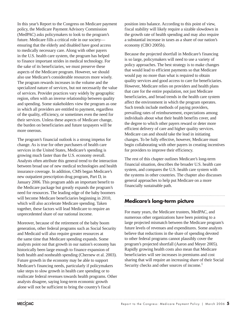In this year's Report to the Congress on Medicare payment policy, the Medicare Payment Advisory Commission (MedPAC) asks policymakers to look to the program's future. Medicare fills a critical role in our society ensuring that the elderly and disabled have good access to medically necessary care. Along with other payers in the U.S. health care system, the program has helped to finance important strides in medical technology. For the sake of its beneficiaries, we must preserve these aspects of the Medicare program. However, we should also use Medicare's considerable resources more wisely. The program rewards increases in the volume and the specialized nature of services, but not necessarily the value of services. Provider practices vary widely by geographic region, often with an inverse relationship between quality and spending. Some stakeholders view the program as one in which all providers are entitled to payment, regardless of the quality, efficiency, or sometimes even the need for their services. Unless these aspects of Medicare change, the burden on beneficiaries and future taxpayers will be more onerous.

The program's financial outlook is a strong impetus for change. As is true for other purchasers of health care services in the United States, Medicare's spending is growing much faster than the U.S. economy overall. Analysts often attribute this general trend to the interaction between broad use of new medical technologies and health insurance coverage. In addition, CMS began Medicare's new outpatient prescription drug program, Part D, in January 2006. This program adds an important benefit to the Medicare package but greatly expands the program's need for resources. The leading edge of the baby boomers will become Medicare beneficiaries beginning in 2010, which will also accelerate Medicare spending. Taken together, these factors will lead Medicare to require an unprecedented share of our national income.

Moreover, because of the retirement of the baby boom generation, other federal programs such as Social Security and Medicaid will also require greater resources at the same time that Medicare spending expands. Some analysts point out that growth in our nation's economy has historically been large enough to finance expansion of both health and nonhealth spending (Chernew et al. 2003). Future growth in the economy may be able to support Medicare's financing needs, particularly if policymakers take steps to slow growth in health care spending or to reallocate federal revenues towards health programs. Other analysts disagree, saying long-term economic growth alone will not be sufficient to bring the country's fiscal

position into balance. According to this point of view, fiscal stability will likely require a sizable slowdown in the growth rate of health spending and may also require a substantial increase in taxes as a share of our nation's economy (CBO 2005b).

Because the projected shortfall in Medicare's financing is so large, policymakers will need to use a variety of policy approaches. The best strategy is to make changes that would lead to efficient payments so that Medicare would pay no more than what is required to obtain quality services and good access to care for beneficiaries. However, Medicare relies on providers and health plans that care for the entire population, not just Medicare beneficiaries, and broad trends in the health care system affect the environment in which the program operates. Such trends include methods of paying providers, prevailing rates of reimbursement, expectations among individuals about what their health benefits cover, and the degree to which other payers reward or deter more efficient delivery of care and higher quality services. Medicare can and should take the lead in initiating changes. To be fully effective, however, Medicare must begin collaborating with other payers in creating incentives for providers to improve their efficiency.

The rest of this chapter outlines Medicare's long-term financial situation, describes the broader U.S. health care system, and compares the U.S. health care system with the systems in other countries. The chapter also discusses general approaches to help put Medicare on a more financially sustainable path.

## **Medicare's long-term picture**

For many years, the Medicare trustees, MedPAC, and numerous other organizations have been pointing to a large projected mismatch between the Medicare program's future levels of revenues and expenditures. Some analysts believe that reductions in the share of spending devoted to other federal programs cannot plausibly cover the program's projected shortfall (Aaron and Meyer 2005). Rapidly growing health costs also mean that Medicare beneficiaries will see increases in premiums and cost sharing that will require an increasing share of their Social Security checks and other sources of income.<sup>1</sup>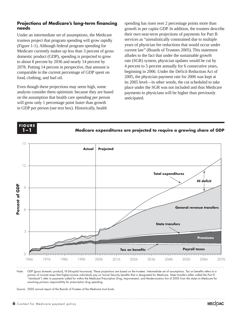#### **Projections of Medicare's long-term financing needs**

Under an intermediate set of assumptions, the Medicare trustees project that program spending will grow rapidly (Figure 1-1). Although federal program spending for Medicare currently makes up less than 3 percent of gross domestic product (GDP), spending is projected to grow to about 8 percent by 2036 and nearly 14 percent by 2078. Putting 14 percent in perspective, that amount is comparable to the current percentage of GDP spent on food, clothing, and fuel oil.

Even though these projections may seem high, some analysts consider them optimistic because they are based on the assumption that health care spending per person will grow only 1 percentage point faster than growth in GDP per person (see text box). Historically, health

spending has risen over 2 percentage points more than growth in per capita GDP. In addition, the trustees describe their own near-term projections of payments for Part B services as "unrealistically constrained due to multiple years of physician fee reductions that would occur under current law" (Boards of Trustees 2005). This statement alludes to the fact that under the sustainable growth rate (SGR) system, physician updates would be cut by 4 percent to 5 percent annually for 6 consecutive years, beginning in 2006. Under the Deficit Reduction Act of 2005, the physician payment rate for 2006 was kept at its 2005 level—in other words, the cut scheduled to take place under the SGR was not included and thus Medicare payments to physicians will be higher than previously anticipated.



Note: GDP (gross domestic product), HI (Hospital Insurance). These projections are based on the trustees' intermediate set of assumptions. Tax on benefits refers to a portion of income taxes that higher-income individuals pay on Social Security benefits that is designated for Medicare. State transfers (often called the Part D "clawback") refer to payments called for within the Medicare Prescription Drug, Improvement, and Modernization Act of 2003 from the states to Medicare for assuming primary responsibility for prescription drug spending.

Source: 2005 annual report of the Boards of Trustees of the Medicare trust funds.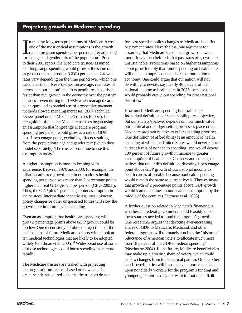# **Projecting growth in Medicare spending**

In making long-term projections of Medicare's come of the most critical assumptions is the growt rate in program spending per person, after adjust for the age and gender mix of the population.<sup>2</sup> Prior n making long-term projections of Medicare's costs, one of the most critical assumptions is the growth rate in program spending per person, after adjusting to their 2001 report, the Medicare trustees assumed that long-range spending would grow at the same rate as gross domestic product (GDP) per person. Growth rates vary depending on the time period over which one calculates them. Nevertheless, on average, real rates of increase in our nation's health expenditures have risen faster than real growth in the economy over the past six decades—even during the 1990s when managed care techniques and expanded use of prospective payment methods slowed spending increases (2004 Technical review panel on the Medicare Trustees Report). In recognition of this, the Medicare trustees began using an assumption that long-range Medicare program spending per person would grow at a rate of GDP plus 1 percentage point, excluding effects resulting from the population's age and gender mix (which they model separately). The trustees continue to use this assumption today.<sup>3</sup>

A higher assumption is more in keeping with experience. Between 1970 and 2003, for example, the inflation-adjusted growth rate in our nation's health spending per person was more than 2 percentage points higher than real GDP growth per person (CBO 2005b). Thus, the GDP plus 1 percentage point assumption in the trustees' intermediate scenario assumes unknown policy changes or other unspecified forces will slow the growth rate in future health spending.

Even an assumption that health care spending will grow 2 percentage points above GDP growth could be too low. One recent study combined projections of the health status of future Medicare cohorts with a look at ten medical technologies that are likely to be adopted widely (Goldman et al. 2005).<sup>4</sup> Widespread use of some of those technologies could boost spending even more rapidly.

The Medicare trustees are tasked with projecting the program's future costs based on how benefits are currently structured—that is, the trustees do not forecast specific policy changes to Medicare benefits or payment rates. Nevertheless, one argument for assuming that Medicare's costs will grow somewhat more slowly than before is that past rates of growth are unsustainable. Projections based on higher assumptions about growth imply that future spending on health care will make up unprecedented shares of our nation's economy. One could argue that our nation will not be willing to devote, say, nearly 40 percent of our national income to health care in 2075, because that would probably crowd out spending for other national priorities.5

How much Medicare spending is sustainable? Individual definitions of sustainability are subjective, but our society's answer depends on how much value our political and budget-setting processes place on the Medicare program relative to other spending priorities. One definition of affordability is an amount of health spending at which the United States would never reduce current levels of nonhealth spending, and would devote 100 percent of future growth in income to greater consumption of health care. Chernew and colleagues believe that under this definition, devoting 1 percentage point above GDP growth of our national income to health care is affordable because nonhealth spending would remain the same as current levels. They estimate that growth of 2 percentage points above GDP growth would lead to declines in nonhealth consumption by the middle of the century (Chernew et al. 2003).

A further question related to Medicare's financing is whether the federal government could feasibly raise the resources needed to fund the program's growth. One researcher argues that devoting ever-increasing shares of GDP to Medicare, Medicaid, and other federal programs will ultimately run into the "historical reluctance of American voters to allocate much more than 18 percent of the GDP to federal spending" (Newhouse 2004). In the future, Medicare beneficiaries may make up a growing share of voters, which could lead to changes from the historical pattern. On the other hand, beneficiaries will become even more dependent upon nonelderly workers for the program's funding and younger generations may not want to foot this bill.  $\blacksquare$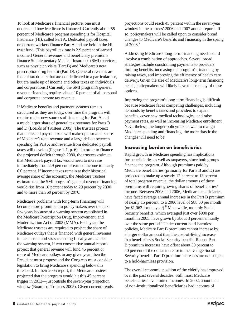To look at Medicare's financial picture, one must understand how Medicare is financed. Currently about 55 percent of Medicare's program spending is for Hospital Insurance (HI), called Part A. Dedicated payroll taxes on current workers finance Part A and are held in the HI trust fund. (This payroll tax rate is 2.9 percent of earned income.) General revenues and beneficiary premiums finance Supplementary Medical Insurance (SMI) services, such as physician visits (Part B) and Medicare's new prescription drug benefit (Part D). (General revenues are federal tax dollars that are not dedicated to a particular use, but are made up of income and other taxes on individuals and corporations.) Currently the SMI program's general revenue financing requires about 10 percent of all personal and corporate income tax revenue.

If Medicare benefits and payment systems remain structured as they are today, over time the program will require major new sources of financing for Part A and a much larger share of general tax revenues for Parts B and D (Boards of Trustees 2005). The trustees project that dedicated payroll taxes will make up a smaller share of Medicare's total revenue and a large deficit between spending for Part A and revenue from dedicated payroll taxes will develop (Figure 1-1, p.  $6$ ).<sup>6</sup> In order to finance the projected deficit through 2080, the trustees estimate that Medicare's payroll tax would need to increase immediately from 2.9 percent of earned income to nearly 6.0 percent. If income taxes remain at their historical average share of the economy, the Medicare trustees estimate that the SMI program's general revenue financing would rise from 10 percent today to 29 percent by 2030 and to more than 50 percent by 2070.

Medicare's problems with long-term financing will become more prominent to policymakers over the next few years because of a warning system established in the Medicare Prescription Drug, Improvement, and Modernization Act of 2003 (MMA). Each year, the Medicare trustees are required to project the share of Medicare outlays that is financed with general revenues in the current and six succeeding fiscal years. Under the warning system, if two consecutive annual reports project that general revenue will fund 45 percent or more of Medicare outlays in any given year, then the President must propose and the Congress must consider legislation to bring Medicare's spending below this threshold. In their 2005 report, the Medicare trustees projected that the program would hit this 45 percent trigger in 2012—just outside the seven-year projection window (Boards of Trustees 2005). Given current trends,

projections could reach 45 percent within the seven-year window in the trustees' 2006 and 2007 annual reports. If so, policymakers will be called upon to consider broad changes to Medicare's benefits and financing in the spring of 2008.7

Addressing Medicare's long-term financing needs could involve a combination of approaches. Several broad strategies include constraining payments to providers, limiting benefits, increasing the program's financing by raising taxes, and improving the efficiency of health care delivery. Given the size of Medicare's long-term financing needs, policymakers will likely have to use many of these options.

Improving the program's long-term financing is difficult because Medicare faces competing challenges, including demands by beneficiaries and providers to expand benefits, cover new medical technologies, and raise payment rates, as well as increasing Medicare enrollment. Nevertheless, the longer policymakers wait to realign Medicare spending and financing, the more drastic the changes will need to be.

#### **Increasing burden on beneficiaries**

Rapid growth in Medicare spending has implications for beneficiaries as well as taxpayers, since both groups finance the program. Although premiums paid by Medicare beneficiaries (primarily for Parts B and D) are projected to make up a steady 12 percent to 13 percent of total program revenue, the dollar amounts of those premiums will require growing shares of beneficiaries' income. Between 2003 and 2006, Medicare beneficiaries have faced average annual increases in the Part B premium of nearly 15 percent, to a 2006 level of \$88.50 per month (or \$1,062 for the year).<sup>8</sup> Meanwhile, monthly Social Security benefits, which averaged just over \$900 per month in 2005, have grown by about 3 percent annually over the same period.<sup>9</sup> Under current hold-harmless policies, Medicare Part B premiums cannot increase by a larger dollar amount than the cost-of-living increase in a beneficiary's Social Security benefit. Recent Part B premium increases have offset about 30 percent to 40 percent of the dollar increase in the average Social Security benefit. Part D premium increases are not subject to a hold-harmless provision.

The overall economic position of the elderly has improved over the past several decades. Still, most Medicare beneficiaries have limited incomes. In 2002, about half of non-institutionalized beneficiaries had incomes of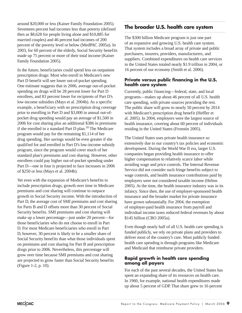around \$20,000 or less (Kaiser Family Foundation 2005). Seventeen percent had incomes less than poverty (defined then as \$8,628 for people living alone and \$10,885 for married couples) and 46 percent had incomes of 200 percent of the poverty level or below (MedPAC 2005a). In 2003, for 60 percent of the elderly, Social Security benefits made up 75 percent or more of their total income (Kaiser Family Foundation 2005).

In the future, beneficiaries could spend less on outpatient prescription drugs: Most who enroll in Medicare's new Part D benefit will see lower out-of-pocket spending. One estimate suggests that in 2006, average out-of-pocket spending on drugs will be 28 percent lower for Part D enrollees, and 83 percent lower for recipients of Part D's low-income subsidies (Mays et al. 2004b). As a specific example, a beneficiary with no prescription drug coverage prior to enrolling in Part D and \$3,000 in annual out-ofpocket drug spending would pay an average of \$1,500 in 2006 for cost sharing plus an additional \$386 in premiums if she enrolled in a standard Part D plan.10 The Medicare program would pay for the remaining \$1,114 of her drug spending. Her savings would be even greater if she qualified for and enrolled in Part D's low-income subsidy program, since the program would cover much of her standard plan's premiums and cost sharing. However, other enrollees could pay higher out-of-pocket spending under Part D—one in four is projected to face increases in 2006 of \$250 or less (Mays et al. 2004b).

Yet even with the expansion of Medicare's benefits to include prescription drugs, growth over time in Medicare premiums and cost sharing will continue to outpace growth in Social Security income. With the introduction of Part D, the average cost of SMI premiums and cost sharing for Parts B and D offsets more than 30 percent of Social Security benefits. SMI premiums and cost sharing will make up a lower percentage—just under 20 percent—for those beneficiaries who do not choose to enroll in Part D. For most Medicare beneficiaries who enroll in Part D, however, 30 percent is likely to be a smaller share of Social Security benefits than what those individuals spent on premiums and cost sharing for Part B and prescription drugs prior to 2006. Nevertheless, this percentage will grow over time because SMI premiums and cost sharing are projected to grow faster than Social Security benefits (Figure 1-2, p. 10).

# **The broader U.S. health care system**

The \$300 billion Medicare program is just one part of an expansive and growing U.S. health care system. That system includes a broad array of private and public purchasers, insurers, providers, manufacturers, and suppliers. Combined expenditures on health care services in the United States totaled nearly \$1.9 trillion in 2004, or 16 percent of our economy (Smith et al. 2006).

#### **Private versus public financing in the U.S. health care system**

Currently, public financing—federal, state, and local programs—makes up about 46 percent of all U.S. health care spending, with private sources providing the rest. The public share will grow to nearly 50 percent by 2014 with Medicare's prescription drug benefit (Heffler et al. 2005). In 2004, employers were the largest source of health insurance, covering about 60 percent of individuals residing in the United States (Fronstin 2005).

The United States uses private health insurance so extensively due to our country's tax policies and economic development. During the World War II era, larger U.S. companies began providing health insurance to offer higher compensation to relatively scarce labor while avoiding wage and price controls. The Internal Revenue Service did not consider such fringe benefits subject to wage controls, and health insurance contributions paid by employers were not considered taxable income (Helms 2005). At the time, the health insurance industry was in its infancy. Since then, the use of employer-sponsored health insurance and the broader market for private insurance have grown substantially. For 2004, the exemption of employer-paid health insurance from payroll and individual income taxes reduced federal revenues by about \$145 billion (CBO 2005a).

Even though nearly half of all U.S. health care spending is funded publicly, we rely on private plans and providers to deliver most of the country's care. Most publicly funded health care spending is through programs like Medicare and Medicaid that reimburse private providers.

#### **Rapid growth in health care spending among all payers**

For each of the past several decades, the United States has spent an expanding share of its resources on health care. In 1960, for example, national health expenditures made up about 5 percent of GDP. That share grew to 16 percent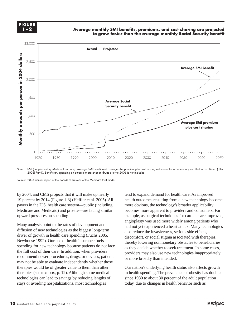

**Average monthly SMI benefits, premiums, and cost sharing are projected to grow faster than the average monthly Social Security benefit**



Source: 2005 annual report of the Boards of Trustees of the Medicare trust funds.

by 2004, and CMS projects that it will make up nearly 19 percent by 2014 (Figure 1-3) (Heffler et al. 2005). All payers in the U.S. health care system—public (including Medicare and Medicaid) and private—are facing similar upward pressures on spending.

Many analysts point to the rates of development and diffusion of new technologies as the biggest long-term driver of growth in health care spending (Fuchs 2005, Newhouse 1992). Our use of health insurance fuels spending for new technology because patients do not face the full cost of their care. In addition, when providers recommend newer procedures, drugs, or devices, patients may not be able to evaluate independently whether those therapies would be of greater value to them than other therapies (see text box, p. 12). Although some medical technologies can lead to savings by reducing lengths of stays or avoiding hospitalizations, most technologies

tend to expand demand for health care. As improved health outcomes resulting from a new technology become more obvious, the technology's broader applicability becomes more apparent to providers and consumers. For example, as surgical techniques for cardiac care improved, angioplasty was used more widely among patients who had not yet experienced a heart attack. Many technologies also reduce the invasiveness, serious side effects, discomfort, or social stigma associated with therapies, thereby lowering nonmonetary obstacles to beneficiaries as they decide whether to seek treatment. In some cases, providers may also use new technologies inappropriately or more broadly than intended.

Our nation's underlying health status also affects growth in health spending. The prevalence of obesity has doubled since 1980 to about 30 percent of the adult population today, due to changes in health behavior such as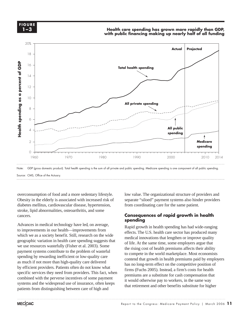

#### **Health care spending has grown more rapidly than GDP, with public financing making up nearly half of all funding**



overconsumption of food and a more sedentary lifestyle. Obesity in the elderly is associated with increased risk of diabetes mellitus, cardiovascular disease, hypertension, stroke, lipid abnormalities, osteoarthritis, and some cancers.

Advances in medical technology have led, on average, to improvements in our health—improvements from which we as a society benefit. Still, research on the wide geographic variation in health care spending suggests that we use resources wastefully (Fisher et al. 2003). Some payment systems contribute to the problem of wasteful spending by rewarding inefficient or low-quality care as much if not more than high-quality care delivered by efficient providers. Patients often do not know what specific services they need from providers. This fact, when combined with the perverse incentives of some payment systems and the widespread use of insurance, often keeps patients from distinguishing between care of high and

low value. The organizational structure of providers and separate "siloed" payment systems also hinder providers from coordinating care for the same patient.

#### **Consequences of rapid growth in health spending**

Rapid growth in health spending has had wide-ranging effects. The U.S. health care sector has produced many medical innovations that lengthen or improve quality of life. At the same time, some employers argue that the rising cost of health premiums affects their ability to compete in the world marketplace. Most economists contend that growth in health premiums paid by employers has no long-term effect on the competitive position of firms (Fuchs 2005). Instead, a firm's costs for health premiums are a substitute for cash compensation that it would otherwise pay to workers, in the same way that retirement and other benefits substitute for higher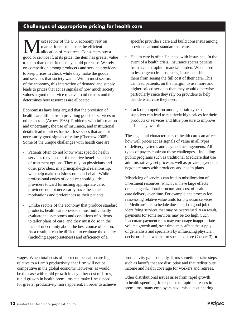### **Challenges of appropriate pricing for health care**

**M** ost sectors of the U.S. economy rely on market forces to ensure the efficient allocation of resources. Consumers buy a good or service if, at its price, the item has greater value market forces to ensure the efficient allocation of resources. Consumers buy a to them than other items they could purchase. We rely on competition among producers and service providers to keep prices in check while they make the goods and services that society wants. Within most sectors of the economy, this interaction of demand and supply leads to prices that act as signals of how much society values a good or service relative to other uses and thus determines how resources are allocated.

Economists have long argued that the provision of health care differs from providing goods or services in other sectors (Arrow 1963). Problems with information and uncertainty, the use of insurance, and institutional details lead to prices for health services that are not necessarily good signals of value (Chernew 2005). Some of the unique challenges with health care are:

- Patients often do not know what specific health services they need or the relative benefits and costs of treatment options. They rely on physicians and other providers, in a principal-agent relationship, who help make decisions on their behalf. While professional codes of conduct should guide providers toward furnishing appropriate care, providers do not necessarily have the same motivations and preferences as their patients.
- Unlike sectors of the economy that produce standard products, health care providers must individually evaluate the symptoms and conditions of patients to tailor plans of care, and they must do so in the face of uncertainty about the best course of action. As a result, it can be difficult to evaluate the quality (including appropriateness) and efficiency of a

specific provider's care and build consensus among providers around standards of care.

- Health care is often financed with insurance. In the event of a health crisis, insurance spares patients from a catastrophic financial burden. When used in less urgent circumstances, insurance shields them from seeing the full cost of their care. This can lead patients, on the margin, to use more and higher-priced services than they would otherwise particularly since they rely on providers to help decide what care they need.
- Lack of competition among certain types of suppliers can lead to relatively high prices for their products or services and little pressure to improve efficiency over time.

These general characteristics of health care can affect how well prices act as signals of value in all types of delivery systems and payment arrangements. All types of payers confront these challenges—including public programs such as traditional Medicare that use administratively set prices as well as private payers that negotiate rates with providers and health plans.

Mispricing of services can lead to misallocation of investment resources, which can have large effects on the organizational structure and cost of health care delivery over time. For example, the process for reassessing relative value units for physician services in Medicare's fee schedule does not do a good job of identifying services that may be overvalued. As a result, payments for some services may be too high. Such inaccurate payment rates may encourage inappropriate volume growth and, over time, may affect the supply of generalists and specialists by influencing physician decisions about whether to specialize (see Chapter 3).  $\blacksquare$ 

wages. When total costs of labor compensation are high relative to a firm's productivity, that firm will not be competitive in the global economy. However, as would be the case with rapid growth in any other cost of firms, rapid growth in health premiums can make firms' need for greater productivity more apparent. In order to achieve

productivity gains quickly, firms sometimes take steps such as layoffs that are disruptive and that redistribute income and health coverage for workers and retirees.

Other distributional issues arise from rapid growth in health spending. In response to rapid increases in premiums, many employers have raised cost-sharing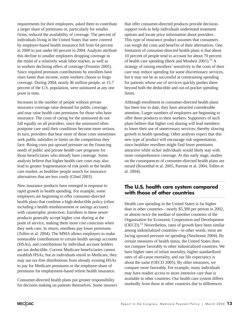requirements for their employees, asked them to contribute a larger share of premiums or, particularly for smaller firms, reduced the availability of coverage. The percent of individuals living in the United States that were covered by employer-based health insurance fell from 64 percent in 2000 to just under 60 percent in 2004. Analysts attribute this decline to smaller employers dropping coverage in the midst of a relatively weak labor market, as well as to workers declining offers of coverage (Fronstin 2005). Since required premium contributions by enrollees have risen faster than income, some workers choose to forgo coverage. During 2004, nearly 46 million people, or 15.7 percent of the U.S. population, were uninsured at any one point in time.

Increases in the number of people without private insurance coverage raise demand for public coverage, and may raise health care premiums for those who have insurance. The costs of caring for the uninsured do not fall equally on all providers, since the uninsured often postpone care until their conditions become more serious. In turn, providers that bear more of those costs sometimes seek public subsidies or limits on the competition they face. Rising costs put upward pressure on the financing needs of public and private health care programs for those beneficiaries who already have coverage. Some analysts believe that higher health care costs may also lead to greater fragmentation of risk pools in the health care market, as healthier people search for insurance alternatives that are less costly (Glied 2003).

New insurance products have emerged in response to rapid growth in health spending. For example, some employers are beginning to offer consumer-directed health plans that combine a high-deductible policy (often including a health reimbursement or savings account) with catastrophic protection. Enrollees in these newer products generally accept higher cost sharing at the point of service, making them more cost conscious when they seek care. In return, enrollees pay lower premiums (Tollen et al. 2004). The MMA allows employers to make nontaxable contributions to certain health savings accounts (HSAs), and contributions by individual account holders are tax deductible. Current Medicare beneficiaries cannot establish HSAs, but as individuals enroll in Medicare, they may use tax-free distributions from already existing HSAs to pay for Medicare premiums or the employee-share of premiums for employment-based retiree health insurance.

Consumer-directed health plans put greater responsibility for decision making on patients themselves. Some insurers

that offer consumer-directed products provide decisionsupport tools to help individuals understand treatment options and locate price information about providers. This type of insurance product assumes that consumers can weigh the costs and benefits of their alternatives. One limitation of consumer-directed health plans is that about 10 percent of people tend to account for about 70 percent of health care spending (Berk and Monheit 2001).<sup>11</sup> A strategy of raising enrollees' sensitivity to the costs of their care may reduce spending for some discretionary services, but it may not be as successful at constraining spending for patients whose use of services quickly pushes them beyond both the deductible and out-of-pocket spending limits.

Although enrollment in consumer-directed health plans has been low to date, they have attracted considerable attention. Larger numbers of employers are beginning to offer these products to their workers. Supporters of such plans believe that higher cost sharing will lead members to lower their use of unnecessary services, thereby slowing growth in health spending. Other analysts expect that this new type of product will encourage risk segmentation, since healthier enrollees might find lower premiums attractive while sicker individuals would likely stay with more comprehensive coverage. At this early stage, studies on the consequences of consumer-directed health plans are mixed (Rosenthal et al. 2005, Parente et al. 2004, Tollen et al. 2004).

## **The U.S. health care system compared with those of other countries**

Health care spending in the United States is far higher than in other countries—nearly \$5,300 per person in 2002, or almost twice the median of member countries of the Organisation for Economic Cooperation and Development  $(OECD).<sup>12</sup> Nevertheless, rates of growth have been similar$ among industrialized countries—in other words, most are facing upward pressure on spending (Newhouse 2004). By certain measures of health status, the United States does not compare favorably to other industrialized countries. We have higher rates of infant mortality, higher standardized rates of all-cause mortality, and our life expectancy is about the same (OECD 2005). By other measures, we compare more favorably. For example, many individuals may have readier access to more intensive care than is available in other countries. Our health care system differs markedly from those in other countries due to differences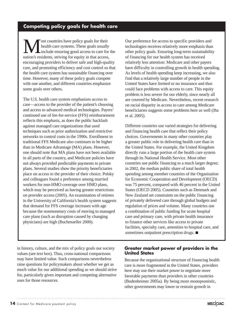# **Competing policy goals for health care**

**M** ost countries have policy goals for their<br>health care systems. These goals usually<br>include ensuring good access to care for<br>nation's residents striving for equity in that access health care systems. These goals usually include ensuring good access to care for the nation's residents, striving for equity in that access, encouraging providers to deliver safe and high-quality care, and promoting efficiency and cost control so that the health care system has sustainable financing over time. However, many of these policy goals compete with one another, and different countries emphasize some goals over others.

The U.S. health care system emphasizes access to care—access to the provider of the patient's choosing and access to advanced medical technologies. Payers' continued use of fee-for-service (FFS) reimbursement reflects this emphasis, as does the public backlash against managed care organizations that used techniques such as prior authorization and restrictive networks to control costs in the 1990s. Enrollment in traditional FFS Medicare also continues to be higher than in Medicare Advantage (MA) plans. However, one should note that MA plans have not been available in all parts of the country, and Medicare policies have not always provided predictable payments to private plans. Several studies show the priority beneficiaries place on access to the provider of their choice. Polsky and colleagues found a preference among married workers for non-HMO coverage over HMO plans, which may be perceived as having greater restrictions on provider access (2005). An examination of retirees in the University of California's health system suggests that demand for FFS coverage increases with age because the nonmonetary costs of moving to managed care plans (such as disruption caused by changing physicians) are high (Buchmueller 2000).

Our preference for access to specific providers and technologies receives relatively more emphasis than other policy goals. Ensuring long-term sustainability of financing for our health system has received relatively less attention: Medicare and other payers have difficulty in controlling growth in health spending. As levels of health spending keep increasing, we also find that a relatively large number of people in the United States have limited or no insurance and thus could face problems with access to care. This equity problem is less severe for our elderly, since nearly all are covered by Medicare. Nevertheless, recent research on racial disparity in access to care among Medicare beneficiaries suggests some problems here as well (Jha et al. 2005).

Different countries use varied strategies for delivering and financing health care that reflect their policy choices. Governments in many other countries play a greater public role in delivering health care than in the United States. For example, the United Kingdom directly runs a large portion of the health care system through its National Health Service. Most other countries use public financing to a much larger degree; in 2002, the median public share of total health spending among member countries of the Organisation for Economic Cooperation and Development (OECD) was 75 percent, compared with 46 percent in the United States (OECD 2005). Countries such as Denmark and New Zealand set constraints on the public financing of privately delivered care through global budgets and regulation of prices and volume. Many countries use a combination of public funding for acute hospital care and primary care, with private health insurance to finance other services like access to private facilities, specialty care, amenities to hospital care, and sometimes outpatient prescription drugs.  $\blacksquare$ 

in history, culture, and the mix of policy goals our society values (see text box). Thus, cross-national comparisons may have limited value. Such comparisons nevertheless raise questions for policymakers about whether we get as much value for our additional spending as we should strive for, particularly given important and competing alternative uses for those resources.

#### **Greater market power of providers in the United States**

Because the organizational structure of financing health care is more fragmented in the United States, providers here may use their market power to negotiate more favorable payments than providers in other countries (Bodenheimer 2005a). By being more monopsonistic, other governments may lower or restrain growth in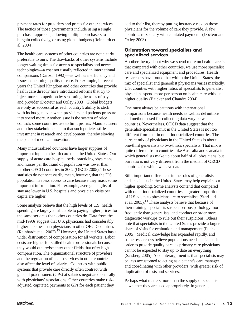payment rates for providers and prices for other services. The tactics of those governments include using a single purchaser approach, allowing multiple purchasers to bargain collectively, or using global budgets (Reinhardt et al. 2004).

The health care systems of other countries are not clearly preferable to ours. The drawbacks of other systems include longer waiting times for access to specialists and newer technologies—a cost not usually reflected in international comparisons (Danzon 1992)—as well as inefficiency and issues concerning quality of care. For example, in recent years the United Kingdom and other countries that provide health care directly have introduced reforms that try to inject more competition by separating the roles of payer and provider (Docteur and Oxley 2003). Global budgets are only as successful as each country's ability to stick with its budget, even when providers and patients pressure it to spend more. Another issue is the system of price controls some countries use to limit profits: Manufacturers and other stakeholders claim that such policies stifle investment in research and development, thereby slowing the pace of medical innovation.

Many industrialized countries have larger supplies of important inputs to health care than the United States. Our supply of acute care hospital beds, practicing physicians, and nurses per thousand of population was lower than in other OECD countries in 2002 (OECD 2005). These statistics do not necessarily mean, however, that the U.S. population has less access to care because they mask some important information. For example, average lengths of stay are lower in U.S. hospitals and physician visits per capita are higher.

Some analysts believe that the high levels of U.S. health spending are largely attributable to paying higher prices for the same services than other countries do. Data from the mid-1990s suggest that U.S. physicians had considerably higher incomes than physicians in other OECD countries (Reinhardt et al. 2002).<sup>13</sup> However, the United States has a wider distribution of compensation for all workers. Labor costs are higher for skilled health professionals because they would otherwise enter other fields that offer high compensation. The organizational structure of providers and the regulation of health services in other countries also affect the level of salaries. Countries with public systems that provide care directly often contract with general practitioners (GPs) at salaries negotiated centrally with physicians' associations. Other countries make riskadjusted, capitated payments to GPs for each patient they

add to their list, thereby putting insurance risk on those physicians for the volume of care they provide. A few countries mix salary with capitated payments (Docteur and Oxley 2003).

#### **Orientation toward specialists and specialized services**

Another theory about why we spend more on health care is that compared with other countries, we use more specialist care and specialized equipment and procedures. Health researchers have found that within the United States, the mix of specialist and generalist physicians varies markedly. U.S. counties with higher ratios of specialists to generalist physicians spend more per person on health care without higher quality (Baicker and Chandra 2004).

One must always be cautious with international comparisons because health needs as well as definitions and methods used for collecting data vary between countries. Nevertheless, OECD data suggest that the generalist-specialist mix in the United States is not too different from that in other industrialized countries. The current mix of physicians in the United States is about one-third generalists to two-thirds specialists. That mix is quite different from countries like Australia and Canada in which generalists make up about half of all physicians, but our ratio is not very different from the median of OECD countries for which we have data.

Still, important differences in the roles of generalists and specialists in the United States may help explain our higher spending. Some analysts contend that compared with other industrialized countries, a greater proportion of U.S. visits to physicians are to specialists (Starfield et al. 2005).14 These analysts believe that because of their training, specialists suspect serious pathology more frequently than generalists, and conduct or order more diagnostic workups to rule out their suspicions. Others note that specialists in the United States provide a larger share of visits for evaluation and management (Fuchs 2005). Medical knowledge has expanded rapidly, and some researchers believe populations need specialists in order to provide quality care, as primary care physicians cannot be expected to stay up to date on everything (Salsberg 2005). A counterargument is that specialists may be less accustomed to acting as a patient's care manager and coordinating with other providers, with greater risk of duplication of tests and services.

Perhaps what matters more than the supply of specialists is whether they are used appropriately. In general,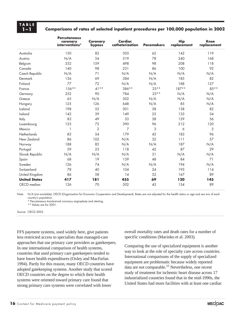# **TABLE**

#### **1–1 Comparisons of rates of selected inpatient procedures per 100,000 population in 2002**

|                      | <b>Percutaneous</b><br>coronary<br>interventions* | Coronary<br>bypass | Cardiac<br>catheterization | <b>Pacemakers</b> | <b>Hip</b><br>replacement | <b>Knee</b><br>replacement |  |
|----------------------|---------------------------------------------------|--------------------|----------------------------|-------------------|---------------------------|----------------------------|--|
| Australia            | 130                                               | 82                 | 303                        | 62                | 142                       | 119                        |  |
| Austria              | N/A                                               | 54                 | 519                        | 78                | 240                       | 168                        |  |
| Belgium              | 332                                               | 159                | 498                        | 98                | 208                       | 118                        |  |
| Canada               | 140                                               | 98                 | 231                        | 86                | 100                       | 92                         |  |
| Czech Republic       | N/A                                               | 71                 | N/A                        | N/A               | N/A                       | N/A                        |  |
| Denmark              | 136                                               | 69                 | 384                        | N/A               | 185                       | 82                         |  |
| Finland              | 77                                                | 72                 | N/A                        | N/A               | 188                       | 127                        |  |
| France               | $156***$                                          | $41**$             | 386**                      | $25**$            | $187**$                   | $85***$                    |  |
| Germany              | 252                                               | 90                 | 784                        | $25***$           | N/A                       | N/A                        |  |
| Greece               | 63                                                | N/A                | 302                        | N/A               | N/A                       | N/A                        |  |
| Hungary              | 125                                               | 126                | 648                        | N/A               | 85                        | N/A                        |  |
| Iceland              | 198                                               | 55                 | 301                        | 38                | 138                       | 82                         |  |
| Ireland              | 142                                               | 39                 | 149                        | 25                | 133                       | 34                         |  |
| Italy                | 83                                                | 49                 | 33                         | 58                | 129                       | 56                         |  |
| Luxembourg           | 155                                               | 72                 | 390                        | 96                | 212                       | 120                        |  |
| Mexico               | 1                                                 | $\overline{2}$     | 7                          | 3                 | 6                         | 3                          |  |
| Netherlands          | 83                                                | 54                 | 179                        | 43                | 183                       | 96                         |  |
| New Zealand          | 86                                                | 102                | N/A                        | 32                | 111                       | 57                         |  |
| Norway               | 188                                               | 85                 | N/A                        | N/A               | 187                       | N/A                        |  |
| Portugal             | 59                                                | 23                 | 118                        | 42                | 87                        | 29                         |  |
| Slovak Republic      | N/A                                               | N/A                | N/A                        | 31                | N/A                       | N/A                        |  |
| Spain                | 68                                                | 19                 | 139                        | 48                | 84                        | 71                         |  |
| Sweden               | 126                                               | 74                 | N/A                        | N/A               | 194                       | N/A                        |  |
| Switzerland          | 78                                                | 40                 | 104                        | 24                | 193                       | 114                        |  |
| United Kingdom       | 86                                                | 58                 | 14                         | 52                | 167                       | 89                         |  |
| <b>United States</b> | 417                                               | 181                | 455                        | 69                | 120                       | 145                        |  |
| OECD median          | 126                                               | 70                 | 302                        | 43                | 154                       | 89                         |  |

Note: N/A (not available), OECD (Organisation for Economic Cooperation and Development). Rates are not adjusted for the health status or age and sex mix of each country's population.

\* Percutaneous transluminal coronary angioplasty and stenting.

\*\* Values are for 2001.

Source: OECD 2005.

FFS payment systems, used widely here, give patients less restricted access to specialists than managed-care approaches that use primary care providers as gatekeepers. In one international comparison of health systems, countries that used primary care gatekeepers tended to have lower health expenditures (Oxley and MacFarlan 1994). Partly for this reason, many OECD countries have adopted gatekeeping systems. Another study that scored OECD countries on the degree to which their health systems were oriented toward primary care found that strong primary care systems were correlated with lower

overall mortality rates and death rates for a number of specific conditions (Macinko et al. 2003).

Comparing the use of specialized equipment is another way to look at the role of specialty care across countries. International comparisons of the supply of specialized equipment are problematic because widely reported data are not comparable.15 Nevertheless, one recent study of treatment for ischemic heart disease across 17 industrialized countries found that in the mid-1990s, the United States had more facilities with at least one cardiac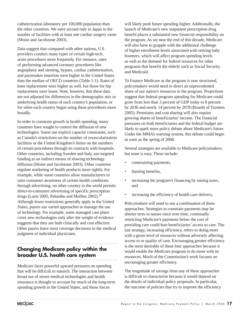catheterization laboratory per 100,000 population than the other countries. We were second only to Japan in the number of facilities with at least one cardiac surgery room (Moise and Jacobzone 2003).

Data suggest that compared with other nations, U.S. providers conduct many types of certain high-tech, acute procedures more frequently. For instance, rates of performing advanced coronary procedures like angioplasty and stenting, bypass, cardiac catheterization, and pacemaker insertion were higher in the United States than the median of OECD countries (Table 1-1). Rates of knee replacement were higher as well, but those for hip replacement were lower. Note, however, that these data are not adjusted for differences in the demographic mix or underlying health status of each country's population, or for when each country began using these procedures more broadly.

In order to constrain growth in health spending, many countries have sought to control the diffusion of new technologies. Some use explicit capacity constraints, such as Canada's restrictions on the number of revascularization facilities or the United Kingdom's limits on the numbers of certain procedures through its contracts with hospitals. Other countries, including Sweden and Italy, use targeted funding as an indirect means of slowing technology diffusion (Moise and Jacobzone 2003). Other countries regulate marketing of health products more tightly. For example, while some countries allow manufacturers to raise consumer awareness of certain health conditions through advertising, no other country in the world permits direct-to-consumer advertising of specific prescription drugs (Lurie 2005, Palumbo and Mullins 2002).16 Although fewer restrictions generally apply in the United States, payers use varied approaches to manage the use of technology. For example, some managed care plans cover new technologies only after the weight of evidence suggests that they are both clinically and cost effective. Other payers leave most coverage decisions to the medical judgment of individual physicians.

# **Changing Medicare policy within the broader U.S. health care system**

Medicare faces powerful upward pressures on spending that will be difficult to staunch. The interaction between broad use of newer medical technologies and health insurance is thought to account for much of the long-term spending growth in the United States, and those forces

will likely push future spending higher. Additionally, the launch of Medicare's new outpatient prescription drug benefit places a substantial new financial responsibility on the program. As we near the end of this decade, Medicare will also have to grapple with the additional challenge of higher enrollment levels associated with retiring baby boomers, which will affect program spending levels as well as the demand for federal resources for other programs that benefit the elderly such as Social Security and Medicaid.

To finance Medicare as the program is now structured, policymakers would need to direct an unprecedented share of our nation's resources to the program. Projections suggest that federal program spending for Medicare could grow from less than 3 percent of GDP today to 8 percent by 2036 and nearly 14 percent by 2078 (Boards of Trustees 2005). Premiums and cost sharing will also require growing shares of beneficiaries' income. The financial pressures on both beneficiaries and the federal budget are likely to spark more policy debate about Medicare's future. Under the MMA's warning system, this debate could begin as soon as the spring of 2008.

Several strategies are available to Medicare policymakers, but none is easy. These include:

- constraining payments,
- limiting benefits,
- increasing the program's financing by raising taxes, and
- increasing the efficiency of health care delivery.

Policymakers will need to use a combination of these approaches. Strategies to constrain payments may be shorter term in nature since over time, continually restricting Medicare's payments below the cost of providing care could hurt beneficiaries' access to care. The last strategy, increasing efficiency, refers to doing more with a given level of resources without adversely affecting access to or quality of care. Encouraging greater efficiency is the most desirable of these four approaches because it would enable the Medicare program to do more with its resources. Much of the Commission's work focuses on encouraging greater efficiency.

The magnitude of savings from any of these approaches is difficult to characterize because it would depend on the details of individual policy proposals. In particular, the outcome of policies that try to improve the efficiency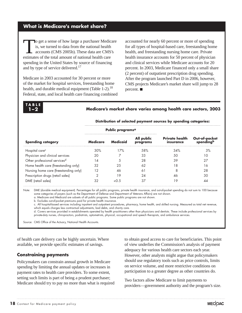#### **What is Medicare's market share?**

o get a sense of how large a purchaser Medicare is, we turned to data from the national health accounts (CMS 2005b). These data are CMS's estimates of the total amount of national health care spending in the United States by source of financing and by type of service delivered.<sup>17</sup>

Medicare in 2003 accounted for 30 percent or more of the market for hospital services, freestanding home health, and durable medical equipment (Table  $1-2$ ).<sup>18</sup> Federal, state, and local health care financing combined accounted for nearly 60 percent or more of spending for all types of hospital-based care, freestanding home health, and freestanding nursing home care. Private health insurance accounts for 50 percent of physician and clinical services while Medicare accounts for 20 percent. In 2003, Medicare financed only a small share (2 percent) of outpatient prescription drug spending. After the program launched Part D in 2006, however, CMS projects Medicare's market share will jump to 28 percent.  $\blacksquare$ 

# **TABLE**

#### **1–2 Medicare's market share varies among health care sectors, 2003**

| Promotion of science payment sources by spending categories. |                 |                        |                                    |                           |  |  |
|--------------------------------------------------------------|-----------------|------------------------|------------------------------------|---------------------------|--|--|
|                                                              |                 |                        |                                    |                           |  |  |
| Medicare                                                     | <b>Medicaid</b> | All public<br>programs | <b>Private health</b><br>insurance | Out-of-pocket<br>spending |  |  |
| 30%                                                          | 17%             | .58%                   | 34%                                | 3%                        |  |  |
| 20                                                           |                 | 33                     | 50                                 |                           |  |  |
| 4                                                            |                 | 28                     | 39                                 | 27                        |  |  |
| 32                                                           | 25              | 62                     | 8                                  | 6                         |  |  |
|                                                              |                 | ♦                      | o                                  | 28                        |  |  |
|                                                              | 9               | 24                     |                                    | 30                        |  |  |
|                                                              |                 |                        |                                    |                           |  |  |
|                                                              |                 |                        | Public programs <sup>a</sup>       |                           |  |  |

#### **Distribution of selected payment sources by spending categories:**

Note: DME (durable medical equipment). Percentages for all public programs, private health insurance, and out-of-pocket spending do not sum to 100 because some categories of payers (such as the Department of Defense and Department of Veterans Affairs) are not shown.

a. Medicare and Medicaid are subsets of all public programs. Some public programs are not shown.

b. Excludes out-of-pocket premiums paid for private health insurance.

 c. All hospital-based services including inpatient and outpatient procedures, pharmacy, home health, and skilled nursing. Measured as total net revenue, which equals charges less contractual adjustments, bad debts, and charity care.

 d. Covers services provided in establishments operated by health practitioners other than physicians and dentists. These include professional services by private-duty nurses, chiropractors, podiatrists, optometrists, physical, occupational and speech therapists, and ambulance services.

Source: CMS Office of the Actuary, National Health Accounts.

of health care delivery can be highly uncertain. Where available, we provide specific estimates of savings.

#### **Constraining payments**

Policymakers can constrain annual growth in Medicare spending by limiting the annual updates or increases in payment rates to health care providers. To some extent, setting such limits is part of being a prudent purchaser; Medicare should try to pay no more than what is required

to obtain good access to care for beneficiaries. This point of view underlies the Commission's analysis of payment adequacy for various health care sectors each year. However, other analysts might argue that policymakers should use regulatory tools such as price controls, limits on service volume, and more restrictive conditions on participation to a greater degree as other countries do.

Two factors allow Medicare to limit payments to providers—government authority and the program's size.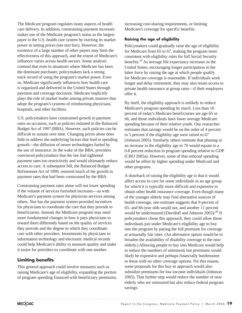The Medicare program regulates many aspects of health care delivery. In addition, constraining payment increases makes use of the Medicare program's status as the largest payer in the U.S. health care system by exerting its market power in setting prices (see text box). However, the existence of a large number of other payers may limit the effectiveness of this approach, and the extent of Medicare's influence varies across health sectors. Some analysts contend that even in situations where Medicare has been the dominant purchaser, policymakers lack a strong track record of using the program's market power. Even so, Medicare significantly influences how health care is organized and delivered in the United States through payment and coverage decisions. Medicare implicitly plays the role of market leader among private insurers that adopt the program's systems of reimbursing physicians, hospitals, and other facilities.

U.S. policymakers have constrained growth in payment rates on occasion, such as policies initiated in the Balanced Budget Act of 1997 (BBA). However, such policies can be difficult to sustain over time. Changing prices alone does little to address the underlying factors that lead to spending growth—the diffusion of newer technologies fueled by the use of insurance. In the wake of the BBA, providers convinced policymakers that the law had tightened payment rates too restrictively and would ultimately reduce access to care. A subsequent bill, the Balanced Budget Refinement Act of 1999, restored much of the growth in payment rates that had been constrained by the BBA.

Constraining payment rates alone will not lower spending if the volume of services furnished increases—as with Medicare's payment system for physician services among others. Nor has the payment system provided incentives for physicians to coordinate the care that they provide to beneficiaries. Instead, the Medicare program may need more fundamental changes in how it pays physicians to reward them differently based on the quality of services they provide and the degree to which they coordinate care with other providers. Investments by physicians in information technology and electronic medical records could help Medicare's ability to measure quality and make it easier for providers to coordinate with one another.

#### **Limiting benefits**

This general approach could involve measures such as raising Medicare's age of eligibility, expanding the portion of program spending financed with beneficiary premiums, increasing cost-sharing requirements, or limiting Medicare's coverage for specific benefits.

#### **Raising the age of eligibility**

Policymakers could gradually raise the age of eligibility for Medicare from 65 to 67, making the program more consistent with eligibility rules for full Social Security benefits.19 As average life expectancy increases in the United States, encouraging longer participation in the labor force by raising the age at which people qualify for Medicare coverage is reasonable. If individuals work longer and delay retirement, they may also retain access to private health insurance at group rates—if their employers offer it.

By itself, the eligibility approach is unlikely to reduce Medicare's program spending by much. Less than 10 percent of today's Medicare beneficiaries are age 65 or 66, and those individuals have lower average Medicare spending because of their relative youth. One researcher estimates that savings would be on the order of 4 percent to 5 percent if the eligibility age were raised to 67 (Johnson 2005). Similarly, others estimate that phasing in an increase in the eligibility age to 70 would equate to a 0.8 percent reduction in program spending relative to GDP (CBO 2005a). However, some of that reduced spending would be offset by higher spending under Medicaid and other programs.

A drawback of raising the eligibility age is that it would affect access to care for some individuals in an age group for which it is typically more difficult and expensive to obtain other health insurance coverage. Even though many of the younger elderly may find alternative sources of health coverage, one estimate suggests that 9 percent of 65- and 66-year olds would not, and another 11 percent would be underinsured (Davidoff and Johnson 2003).<sup>20</sup> If policymakers chose this approach, they could allow those individuals just under Medicare's eligibility age to buy into the program by paying the full premium for coverage at actuarially fair rates. (An alternative option would be to broaden the availability of disability coverage to the near elderly.) Allowing people to buy into Medicare would help to reduce the numbers of uninsured, but premiums would likely be expensive and perhaps financially burdensome to those with no other coverage options. For this reason, some proposals for this buy-in approach would also subsidize premiums for low-income individuals (Johnson 2005). That further step would reduce the number of near elderly who are uninsured but also reduce federal program savings.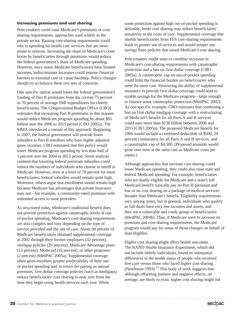#### **Increasing premiums and cost sharing**

Policymakers could raise Medicare's premiums or costsharing requirements, approaches used widely in the private sector. Raising cost-sharing requirements could rein in spending for health care services that are more prone to overuse. Increasing the share of Medicare's costs borne by beneficiaries through premiums would reduce the federal government's share of Medicare spending. However, since many Medicare beneficiaries have limited incomes, indiscriminate increases could impose financial barriers to essential care or cause hardship. Policy changes should try to balance these two sets of concerns.

One specific option would lower the federal government's funding of Part B premiums from the current 75 percent to 70 percent of average SMI expenditures for elderly beneficiaries. The Congressional Budget Office (CBO) estimates that increasing Part B premiums in this manner would reduce Medicare program spending by about \$85 billion over the 2006 to 2015 period (CBO 2005a). The MMA introduced a variant of this approach: Beginning in 2007, the federal government will provide lower subsidies to Part B enrollees who have higher adjusted gross incomes. CBO estimated that this policy would lower Medicare program spending by less than half of 1 percent over the 2004 to 2013 period. Some analysts contend that lowering federal premium subsidies could reduce the numbers of individuals who choose to enroll in Medicare. However, even at a level of 70 percent for most beneficiaries, federal subsidies would remain quite high. Moreover, others argue that enrollment would remain high because Medicare has advantages that private insurance may not—for example, a community-rated premium with unlimited access to most providers.

As structured today, Medicare's traditional benefit does not provide protection against catastrophic levels of outof-pocket spending. Medicare's cost-sharing requirements are also complex and vary depending on the type of service provided and the site of care. About 90 percent of Medicare beneficiaries obtained supplemental coverage in 2002 through their former employers (32 percent), medigap policies (26 percent), Medicare Advantage plans (13 percent), Medicaid (16 percent), or other programs (2 percent) (MedPAC 2005a). Supplemental coverage often gives enrollees greater predictability of their outof-pocket spending and, in return for paying an annual premium, first-dollar coverage policies (such as medigaps) reduce beneficiaries' cost sharing to near zero from the time they begin using health services each year. While

some protection against high out-of-pocket spending is desirable, lower cost sharing may reduce beneficiaries' sensitivity to the costs of care. Supplemental coverage that shields beneficiaries from FFS cost-sharing requirements leads to greater use of services and would temper any savings from policies that raised Medicare's cost sharing.

Policymakers might want to combine increases in Medicare's cost-sharing requirements with catastrophic protection and a ban on first-dollar coverage (CBO 2005a). A catastrophic cap on out-of-pocket spending could limit the financial burden on beneficiaries who need the most care. Restricting the ability of supplemental insurance to provide first-dollar coverage could lead to sizable savings for the Medicare program—large enough to finance some catastrophic protection (MedPAC 2002). As one specific example, CBO estimates that combining a ban on first-dollar medigap coverage with a restructuring of Medicare's benefit for all Parts A and B services could save more than \$130 billion between 2006 and 2015 (CBO 2005a). The proposed Medicare benefit for 2006 would include a combined deductible of \$500, 20 percent coinsurance for all Parts A and B services, and a catastrophic cap of \$4,500. (Proposed amounts would grow over time at the same rate as Medicare costs per capita.)

Although approaches that increase cost sharing could lower Medicare spending, they could also raise state and federal Medicaid spending. For example, beneficiaries who are dually eligible for Medicare and a state's full Medicaid benefit typically pay no Part B premium and low or no cost sharing on a package of medical services broader than Medicare's benefit. Eligibility requirements vary among states, but in general, individuals who qualify as full duals have very low incomes and assets, and they are a vulnerable and costly group of beneficiaries (MedPAC 2004b). Thus, if Medicare were to increase its premium and cost-sharing requirements, the Medicaid program would pay for some of those changes on behalf of dual eligibles.

Higher cost sharing might affect health outcomes. The RAND Health Insurance Experiment, which did not include elderly individuals, found no substantial differences in the health status of people who received free care versus those who faced higher cost sharing (Newhouse 1993). $^{21}$  This body of work suggests that although offsetting positive and negative effects, on average, are likely to exist, higher cost sharing might not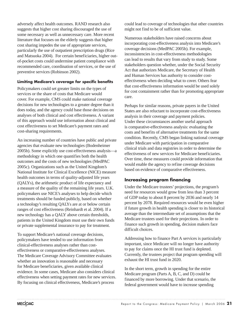adversely affect health outcomes. RAND research also suggests that higher cost sharing discouraged the use of some necessary as well as unnecessary care. More recent literature that focuses on the elderly suggests that higher cost sharing impedes the use of appropriate services, particularly the use of outpatient prescription drugs (Rice and Matsuoka 2004). For certain beneficiaries, higher outof-pocket costs could undermine patient compliance with recommended care, coordination of services, or the use of preventive services (Robinson 2002).

#### **Limiting Medicare's coverage for specific benefits**

Policymakers could set greater limits on the types of services or the share of costs that Medicare would cover. For example, CMS could make national coverage decisions for new technologies to a greater degree than it does today, and the agency could base those decisions on analyses of both clinical and cost effectiveness. A variant of this approach would use information about clinical and cost effectiveness to set Medicare's payment rates and cost-sharing requirements.

An increasing number of countries have public and private agencies that evaluate new technologies (Bodenheimer 2005b). Some explicitly use cost-effectiveness analysis—a methodology in which one quantifies both the health outcomes and the costs of new technologies (MedPAC 2005c). Organizations such as the United Kingdom's National Institute for Clinical Excellence (NICE) measure health outcomes in terms of quality-adjusted life years (QALYs), the arithmetic product of life expectancy and a measure of the quality of the remaining life years. U.K. policymakers use NICE's analyses to help decide which treatments should be funded publicly, based on whether a technology's resulting QALYs are at or below certain ranges of cost effectiveness (Reinhardt et al. 2004). If a new technology has a QALY above certain thresholds, patients in the United Kingdom must use their own funds or private supplemental insurance to pay for treatment.

To support Medicare's national coverage decisions, policymakers have tended to use information from clinical-effectiveness analyses rather than costeffectiveness or comparative-effectiveness analyses. The Medicare Coverage Advisory Committee evaluates whether an innovation is reasonable and necessary for Medicare beneficiaries, given available clinical evidence. In some cases, Medicare also considers clinical effectiveness when setting payment rates for new services. By focusing on clinical effectiveness, Medicare's process

could lead to coverage of technologies that other countries might not find to be of sufficient value.

Numerous stakeholders have raised concerns about incorporating cost-effectiveness analysis into Medicare's coverage decisions (MedPAC 2005b). For example, inconsistencies in cost-effectiveness methodologies can lead to results that vary from study to study. Some stakeholders question whether, under the Social Security Act that authorizes Medicare, the Secretary of Health and Human Services has authority to consider costeffectiveness when deciding what to cover. Others fear that cost-effectiveness information would be used solely for cost containment rather than for promoting appropriate care.

Perhaps for similar reasons, private payers in the United States are also reluctant to incorporate cost-effectiveness analysis in their coverage and payment policies. Under these circumstances another useful approach is comparative-effectiveness analysis: evaluating the costs and benefits of alternative treatments for the same condition. Recently, CMS began linking national coverage under Medicare with participation in comparative clinical trials and data registries in order to determine the effectiveness of new services for Medicare beneficiaries. Over time, these measures could provide information that would enable the agency to refine coverage decisions based on evidence of comparative effectiveness.

#### **Increasing program financing**

Under the Medicare trustees' projections, the program's need for resources would grow from less than 3 percent of GDP today to about 8 percent by 2036 and nearly 14 percent by 2078. Required resources would be even higher if future growth in health spending is closer to its historical average than the intermediate set of assumptions that the Medicare trustees used for their projections. In order to finance such growth in spending, decision makers face difficult choices.

Addressing how to finance Part A services is particularly important, since Medicare will no longer have authority to pay for claims once the HI trust fund is depleted. Currently, the trustees project that program spending will exhaust the HI trust fund in 2020.

In the short term, growth in spending for the entire Medicare program (Parts A, B, C, and D) could be financed by more borrowing. Under that scenario, the federal government would have to increase spending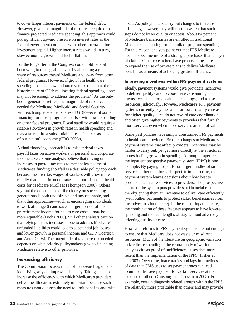to cover larger interest payments on the federal debt. However, given the magnitude of resources required to finance projected Medicare spending, this approach could put significant upward pressure on interest rates as the federal government competes with other borrowers for investment capital. Higher interest rates would, in turn, slow economic growth and fuel inflation.

For the longer term, the Congress could hold federal borrowing to manageable levels by allocating a greater share of resources toward Medicare and away from other federal programs. However, if growth in health care spending does not slow and tax revenues remain at their historic share of GDP, reallocating federal spending alone may not be enough to address the problem.<sup>22</sup> As the baby boom generation retires, the magnitude of resources needed for Medicare, Medicaid, and Social Security will reach unprecedented shares of GDP—even if some financing for those programs is offset with lower spending on other federal programs. Fiscal stability would require a sizable slowdown in growth rates in health spending and may also require a substantial increase in taxes as a share of our nation's economy (CBO 2005b).

A final financing approach is to raise federal taxes payroll taxes on active workers or personal and corporate income taxes. Some analysts believe that relying on increases in payroll tax rates to meet at least some of Medicare's funding shortfall is a desirable policy approach, because the after-tax wages of workers will grow more rapidly than benefits net of taxes and out-of-pocket health costs for Medicare enrollees (Thompson 2000). Others say that the dependence of the elderly on succeeding generations is both undesirable and unsustainable, and that other approaches—such as encouraging individuals to work after age 65 and save a larger portion of their preretirement income for health care costs—may be more equitable (Fuchs 2000). Still other analysts caution that relying on tax increases alone to address Medicare's unfunded liabilities could lead to substantial job losses and lower growth in personal income and GDP (Foertsch and Antos 2005). The magnitude of tax increases needed depends on what priority policymakers give to financing Medicare relative to other priorities.

#### **Increasing efficiency**

The Commission focuses much of its research agenda on identifying ways to improve efficiency. Taking steps to increase the efficiency with which Medicare's providers deliver health care is extremely important because such measures would lessen the need to limit benefits and raise taxes. As policymakers carry out changes to increase efficiency, however, they will need to watch that such steps do not lower quality or access. About 84 percent of Medicare beneficiaries are enrolled in traditional Medicare, accounting for the bulk of program spending. For this reason, analysts point out that FFS Medicare needs to become more of a strategic purchaser than a payer of claims. Other researchers have proposed measures to expand the use of private plans to deliver Medicare benefits as a means of achieving greater efficiency.

#### **Improving incentives within FFS payment systems**

Ideally, payment systems would give providers incentives to deliver quality care, to coordinate care among themselves and across health care settings, and to use resources judiciously. However, Medicare's FFS payment systems currently pay the same for lower-quality care as for higher-quality care, do not reward care coordination, and often give higher payments to providers that furnish more services even when those services are not of value.

Some past policies have simply constrained FFS payments to health care providers. Broader changes to Medicare's payment systems that affect providers' incentives may be harder to carry out, yet get more directly at the structural issues fueling growth in spending. Although imperfect, the inpatient prospective payment system (IPPS) is one example. By paying hospitals for larger bundles of similar services rather than for each specific input to care, the payment system leaves decisions about how best to produce health care services to providers. The prospective nature of the system puts providers at financial risk, thereby giving them an incentive to deliver care efficiently (with outlier payments to protect sicker beneficiaries from incentives to stint on care). In the case of inpatient care, the combination of these features appears to have lowered spending and reduced lengths of stay without adversely affecting quality of care.

However, reforms to FFS payment systems are not enough to ensure that Medicare does not waste or misdirect resources. Much of the literature on geographic variation in Medicare spending—the central body of work that analysts cite as proof of inefficiency—uses data more recent than the implementation of the IPPS (Fisher et al. 2003). Over time, inaccuracies and lags in timeliness of data that CMS uses to set payment rates can lead to unintended overpayment for certain services at the expense of others (Ginsburg and Grossman 2005). For example, certain diagnosis related groups within the IPPS are relatively more profitable than others and may provide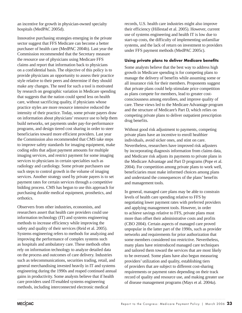an incentive for growth in physician-owned specialty hospitals (MedPAC 2005d).

Innovative purchasing strategies emerging in the private sector suggest that FFS Medicare can become a better purchaser of health care (MedPAC 2004b). Last year the Commission recommended that the Secretary measure the resource use of physicians using Medicare FFS claims and report that information back to physicians on a confidential basis. The objective of this policy is to provide physicians an opportunity to assess their practice style relative to their peers and determine if they should make any changes. The need for such a tool is motivated by research on geographic variation in Medicare spending that suggests that the nation could spend less on health care, without sacrificing quality, if physicians whose practice styles are more resource intensive reduced the intensity of their practice. Today, some private payers draw on information about physicians' resource use to help them build networks, set payments under pay-for-performance programs, and design tiered cost sharing in order to steer beneficiaries toward more efficient providers. Last year the Commission also recommended that CMS take steps to improve safety standards for imaging equipment, make coding edits that adjust payment amounts for multiple imaging services, and restrict payment for some imaging services to physicians in certain specialties such as radiology and cardiology. Some private purchasers use such steps to control growth in the volume of imaging services. Another strategy used by private payers is to set payment rates for certain services through a competitive bidding process. CMS has begun to use this approach for purchasing durable medical equipment, prosthetics, and orthotics.

Observers from other industries, economists, and researchers assert that health care providers could use information technology (IT) and systems engineering methods to increase efficiency while improving the safety and quality of their services (Reid et al. 2005). Systems engineering refers to methods for analyzing and improving the performance of complex systems such as hospitals and ambulatory care. These methods often rely on information technology to analyze detailed data on the process and outcomes of care delivery. Industries such as telecommunications, securities trading, retail, and general merchandising invested heavily in IT and systems engineering during the 1990s and reaped continued annual gains in productivity. Some analysts believe that if health care providers used IT-enabled systems engineering methods, including interconnected electronic medical

records, U.S. health care industries might also improve their efficiency (Hillestad et al. 2005). However, current use of systems engineering and health IT is low due to start-up costs, the difficulty of implementing unfamiliar systems, and the lack of return on investment to providers under FFS payment methods (MedPAC 2005c).

#### **Using private plans to deliver Medicare benefits**

Some analysts believe that the best way to address high growth in Medicare spending is for competing plans to manage the delivery of benefits while assuming some or all insurance risk for their members. Proponents suggest that private plans could help stimulate price competition as plans compete for members, lead to greater costconsciousness among enrollees, and improve quality of care. These views led to the Medicare Advantage program and the structure of Medicare's Part D, which relies on competing private plans to deliver outpatient prescription drug benefits.

Without good risk adjustment to payments, competing private plans have an incentive to enroll healthier individuals, avoid sicker ones, and stint on care. Nevertheless, researchers have improved risk adjusters by incorporating diagnosis information from claims data, and Medicare risk adjusts its payments to private plans in the Medicare Advantage and Part D programs (Pope et al. 2004). For competition among private plans to work well, beneficiaries must make informed choices among plans and understand the consequences of the plans' benefits and management tools.

In general, managed care plans may be able to constrain levels of health care spending relative to FFS by negotiating lower payment rates with preferred providers and applying management tools. However, in order to achieve savings relative to FFS, private plans must more than offset their administrative costs and profits (CBO 2004). Certain aspects of managed care proved unpopular in the latter part of the 1990s, such as provider networks and requirements for prior authorization that some members considered too restrictive. Nevertheless, many plans have reintroduced managed care techniques and tailored them toward the services that are most likely to be overused. Some plans have also begun measuring providers' utilization and quality, establishing tiers of providers that are subject to different cost-sharing requirements or payment rates depending on their track record of quality and resource use, and making greater use of disease management programs (Mays et al. 2004a).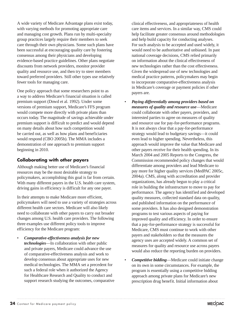A wide variety of Medicare Advantage plans exist today, with varying methods for promoting appropriate care and managing cost growth. Plans run by multi-specialty group practices largely require their members to seek care through their own physicians. Some such plans have been successful at encouraging quality care by fostering consensus among their physicians and developing evidence-based practice guidelines. Other plans negotiate discounts from network providers, monitor provider quality and resource use, and then try to steer members toward preferred providers. Still other types use relatively fewer tools for managing care.

One policy approach that some researchers point to as a way to address Medicare's financial situation is called premium support (Dowd et al. 1992). Under some versions of premium support, Medicare's FFS program would compete more directly with private plans than occurs today. The magnitude of savings achievable under premium support is difficult to predict and would depend on many details about how such competition would be carried out, as well as how plans and beneficiaries would respond (CBO 2005b). The MMA includes a demonstration of one approach to premium support beginning in 2010.

#### **Collaborating with other payers**

Although making better use of Medicare's financial resources may be the most desirable strategy to policymakers, accomplishing this goal is far from certain. With many different payers in the U.S. health care system, driving gains in efficiency is difficult for any one payer.

In their attempts to make Medicare more efficient, policymakers will need to use a variety of strategies across different health care sectors. Medicare will also likely need to collaborate with other payers to carry out broader changes among U.S. health care providers. The following three examples use different policy tools to improve efficiency for the Medicare program:

• *Comparative-effectiveness analysis for new technologies*—In collaboration with other public and private payers, Medicare could advance the use of comparative-effectiveness analysis and work to develop consensus about appropriate uses for new medical technologies. The MMA set a precedent for such a federal role when it authorized the Agency for Healthcare Research and Quality to conduct and support research studying the outcomes, comparative clinical effectiveness, and appropriateness of health care items and services. In a similar way, CMS could help facilitate greater consensus around methodologies and help build capacity for conducting analyses. For such analysis to be accepted and used widely, it would need to be authoritative and unbiased. In past national coverage decisions, CMS relied primarily on information about the clinical effectiveness of new technologies rather than the cost effectiveness. Given the widespread use of new technologies and medical practice patterns, policymakers may begin to incorporate comparative-effectiveness analysis in Medicare's coverage or payment policies if other payers are.

- *Paying differentially among providers based on measures of quality and resource use*—Medicare could collaborate with other payers, providers, and interested parties to agree on measures of quality and resource use for pay-for-performance programs. It is not always clear that a pay-for-performance strategy would lead to budgetary savings—it could even lead to higher spending. Nevertheless, this approach would improve the value that Medicare and other payers receive for their health spending. In its March 2004 and 2005 Reports to the Congress, the Commission recommended policy changes that would differentiate among providers and lead Medicare to pay more for higher quality services (MedPAC 2005c, 2004a). CMS, along with accreditation and provider organizations, has already begun to play a critical role in building the infrastructure to move to pay for performance. The agency has identified and developed quality measures, collected standard data on quality, and published information on the performance of some providers. It has also designed demonstration programs to test various aspects of paying for improved quality and efficiency. In order to ensure that a pay-for-performance strategy is successful for Medicare, CMS must continue to work with other payers and stakeholders so that the measures the agency uses are accepted widely. A common set of measures for quality and resource use across payers would also reduce the reporting burden on providers.
- *Competitive bidding*—Medicare could initiate change on its own in some circumstances. For example, the program is essentially using a competitive bidding approach among private plans for Medicare's new prescription drug benefit. Initial information about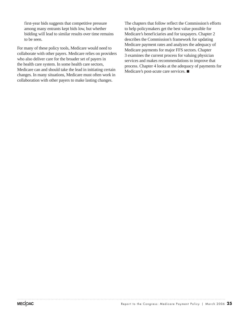first-year bids suggests that competitive pressure among many entrants kept bids low, but whether bidding will lead to similar results over time remains to be seen.

For many of these policy tools, Medicare would need to collaborate with other payers. Medicare relies on providers who also deliver care for the broader set of payers in the health care system. In some health care sectors, Medicare can and should take the lead in initiating certain changes. In many situations, Medicare must often work in collaboration with other payers to make lasting changes.

The chapters that follow reflect the Commission's efforts to help policymakers get the best value possible for Medicare's beneficiaries and for taxpayers. Chapter 2 describes the Commission's framework for updating Medicare payment rates and analyzes the adequacy of Medicare payments for major FFS sectors. Chapter 3 examines the current process for valuing physician services and makes recommendations to improve that process. Chapter 4 looks at the adequacy of payments for Medicare's post-acute care services.  $\blacksquare$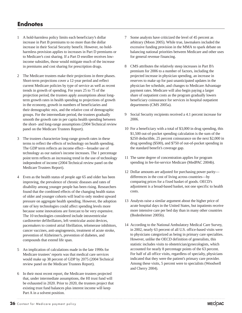# **Endnotes**

- 1 A hold-harmless policy limits each beneficiary's dollar increase in Part B premiums to no more than the dollar increase in their Social Security benefit. However, no holdharmless provision applies to increases in Part D premiums or to Medicare's cost sharing. If a Part D enrollee receives lowincome subsidies, those would mitigate much of the increase in premiums and cost sharing for prescription drugs.
- 2 The Medicare trustees make their projections in three phases. Short-term projections cover a 12-year period and reflect current Medicare policies by type of service as well as recent trends in growth of spending. For years 25 to 75 of the projection period, the trustees apply assumptions about longterm growth rates in health spending to projections of growth in the economy, growth in numbers of beneficiaries and their demographic mix, and the relative cost of demographic groups. For the intermediate period, the trustees gradually smooth the growth rate in per capita health spending between the short- and long-range assumptions (2004 Technical review panel on the Medicare Trustees Report).
- 3 The trustees characterize long-range growth rates in these terms to reflect the effects of technology on health spending. The GDP term reflects an income effect—broader use of technology as our nation's income increases. The 1 percentage point term reflects an increasing trend in the use of technology independent of income (2004 Technical review panel on the Medicare Trustees Report).
- 4 Even as the health status of people age 65 and older has been improving, the prevalence of chronic diseases and rates of disability among younger people has been rising. Researchers found that the combined effects of the changing health status of older and younger cohorts will lead to only modest upward pressure on aggregate health spending. However, the adoption rate of key technologies could affect spending levels more because some innovations are forecast to be very expensive. The 10 technologies considered include intraventricular cardioverter defibrillators, left ventricular assist devices, pacemakers to control atrial fibrillation, telomerase inhibitors, cancer vaccines, anti-angiogenesis, treatment of acute stroke, prevention of Alzheimer's, prevention of diabetes, and compounds that extend life span.
- 5 An implication of calculations made in the late 1990s for Medicare trustees' reports was that medical care services would make up 38 percent of GDP by 2075 (2004 Technical review panel on the Medicare Trustees Report).
- 6 In their most recent report, the Medicare trustees projected that, under intermediate assumptions, the HI trust fund will be exhausted in 2020. Prior to 2020, the trustees project that existing trust fund balances plus interest income will keep Part A in a solvent position.
- 7 Some analysts have criticized the level of 45 percent as arbitrary (Moon 2005). While true, lawmakers included the excessive funding provision in the MMA to spark debate on balancing national priorities between Medicare and other uses for general revenue financing.
- 8 CMS attributes the relatively steep increases in Part B's premium for 2006 to a number of factors, including the projected increase in physician spending, an increase in reserves to make up for past unanticipated updates in the physician fee schedule, and changes to Medicare Advantage payment rates. Medicare will also begin paying a larger share of outpatient costs as the program gradually lowers beneficiary coinsurance for services in hospital outpatient departments (CMS 2005a).
- 9 Social Security recipients received a 4.1 percent increase for 2006.
- 10 For a beneficiary with a total of \$3,000 in drug spending, this \$1,500 out-of-pocket spending calculation is the sum of the \$250 deductible, 25 percent coinsurance on the next \$2,000 in drug spending (\$500), and \$750 of out-of-pocket spending in the standard benefit's coverage gap.
- 11 The same degree of concentration applies for program spending in fee-for-service Medicare (MedPAC 2004b).
- 12 Dollar amounts are adjusted for purchasing power parity differences in the cost of living across countries—by comparing prices for a fixed basket of goods. OECD's adjustment is a broad-based basket, not one specific to health costs.
- 13 Analysts raise a similar argument about the higher price of acute hospital days in the United States, but inpatients receive more intensive care per bed day than in many other countries (Bodenheimer 2005b).
- 14 According to the National Ambulatory Medical Care Survey, in 2002, nearly 63 percent of all U.S. office-based visits were to physicians categorized as being in primary care specialties. However, unlike the OECD definition of generalists, this statistic includes visits to obstetrician/gynecologists, which accounted for nearly 8 percentage points of the 63 percent. For half of all office visits, regardless of specialty, physicians indicated that they were the patient's primary care provider. Among these visits, 5 percent were to specialists (Woodwell and Cherry 2004).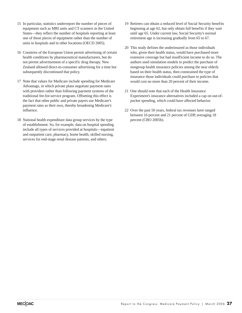- 15 In particular, statistics underreport the number of pieces of equipment such as MRI units and CT scanners in the United States—they reflect the number of hospitals reporting at least one of those pieces of equipment rather than the number of units in hospitals and in other locations (OECD 2005).
- 16 Countries of the European Union permit advertising of certain health conditions by pharmaceutical manufacturers, but do not permit advertisement of a specific drug therapy. New Zealand allowed direct-to-consumer advertising for a time but subsequently discontinued that policy.
- 17 Note that values for Medicare include spending for Medicare Advantage, in which private plans negotiate payment rates with providers rather than following payment systems of the traditional fee-for-service program. Offsetting this effect is the fact that other public and private payers use Medicare's payment rates as their own, thereby broadening Medicare's influence.
- 18 National health expenditure data group services by the type of establishment. So, for example, data on hospital spending include all types of services provided at hospitals—inpatient and outpatient care, pharmacy, home health, skilled nursing, services for end-stage renal disease patients, and others.
- 19 Retirees can obtain a reduced level of Social Security benefits beginning at age 62, but only obtain full benefits if they wait until age 65. Under current law, Social Security's normal retirement age is increasing gradually from 65 to 67.
- 20 This study defines the underinsured as those individuals who, given their health status, would have purchased more extensive coverage but had insufficient income to do so. The authors used simulation models to predict the purchase of nongroup health insurance policies among the near elderly based on their health status, then constrained the type of insurance those individuals could purchase to policies that would cost no more than 20 percent of their income.
- 21 One should note that each of the Health Insurance Experiment's insurance alternatives included a cap on out-ofpocket spending, which could have affected behavior.
- 22 Over the past 50 years, federal tax revenues have ranged between 16 percent and 21 percent of GDP, averaging 18 percent (CBO 2005b).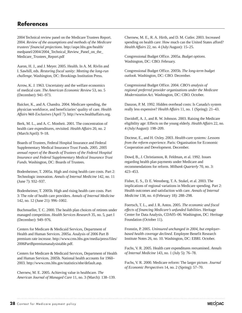## **References**

2004 Technical review panel on the Medicare Trustees Report. 2004. *Review of the assumptions and methods of the Medicare trustees' financial projections*. http://aspe.hhs.gov/health/ medpanel/2004/2004\_Technical\_Review\_Panel\_on\_the\_ Medicare\_Trustees\_Report.pdf

Aaron, H. J., and J. Meyer. 2005. Health. In A. M. Rivlin and I. Sawhill, eds. *Restoring fiscal sanity: Meeting the long-run challenge*. Washington, DC: Brookings Institution Press.

Arrow, K. J. 1963. Uncertainty and the welfare economics of medical care. *The American Economic Review* 53, no. 5 (December): 941–973.

Baicker, K., and A. Chandra. 2004. Medicare spending, the physician workforce, and beneficiaries' quality of care. *Health Affairs Web Exclusives* (April 7). http://www.healthaffairs.org.

Berk, M. L., and A. C. Monheit. 2001. The concentration of health care expenditures, revisited. *Health Affairs* 20, no. 2 (March/April): 9–18.

Boards of Trustees, Federal Hospital Insurance and Federal Supplementary Medical Insurance Trust Funds. 2005. *2005 annual report of the Boards of Trustees of the Federal Hospital Insurance and Federal Supplementary Medical Insurance Trust Funds.* Washington, DC: Boards of Trustees.

Bodenheimer, T. 2005a. High and rising health care costs. Part 2: Technologic innovation. *Annals of Internal Medicine* 142, no. 11 (June 7): 932–937.

Bodenheimer, T. 2005b. High and rising health care costs. Part 3: The role of health care providers. *Annals of Internal Medicine* 142, no. 12 (June 21): 996–1002.

Buchmueller, T. C. 2000. The health plan choices of retirees under managed competition. *Health Services Research* 35, no. 5, part I (December): 949–976.

Centers for Medicare & Medicaid Services, Department of Health and Human Services. 2005a. Analysis of 2006 Part B premium rate increase. http://www.cms.hhs.gov/media/press/files/ 2006PartBpremiumanalysistable.pdf.

Centers for Medicare & Medicaid Services, Department of Health and Human Services. 2005b. National health accounts for 1960– 2003. http://www.cms.hhs.gov/statistics/nhe/default.asp.

Chernew, M. E. 2005. Achieving value in healthcare. *The American Journal of Managed Care* 11, no. 3 (March): 138–139. Chernew, M. E., R. A. Hirth, and D. M. Cutler. 2003. Increased spending on health care: How much can the United States afford? *Health Affairs* 22, no. 4 (July/August): 15–25.

Congressional Budget Office. 2005a. *Budget options*. Washington, DC: CBO. February.

Congressional Budget Office. 2005b. *The long-term budget outlook.* Washington, DC: CBO. December.

Congressional Budget Office. 2004. *CBO's analysis of regional preferred provider organizations under the Medicare Modernization Act.* Washington, DC: CBO. October.

Danzon, P. M. 1992. Hidden overhead costs: Is Canada's system really less expensive? *Health Affairs* 11, no. 1 (Spring): 21–43.

Davidoff, A. J., and R. W. Johnson. 2003. Raising the Medicare eligibility age: Effects on the young elderly. *Health Affairs* 22, no. 4 (July/August): 198–209.

Docteur, E., and H. Oxley. 2003. *Health-care systems: Lessons from the reform experience*. Paris: Organisation for Economic Cooperation and Development. December.

Dowd, B., J. Christianson, R. Feldman, et al. 1992. Issues regarding health plan payments under Medicare and recommendations for reform. *Milbank Quarterly* 70, no. 3: 423–453.

Fisher, E. S., D. E. Wennberg, T. A. Stukel, et al. 2003. The implications of regional variations in Medicare spending. Part 2: Health outcomes and satisfaction with care. *Annals of Internal Medicine* 138, no. 4 (February 18): 288–298.

Foertsch, T. L., and J. R. Antos. 2005. *The economic and fiscal effects of financing Medicare's unfunded liabilities*. Heritage Center for Data Analysis, CDA05–06. Washington, DC: Heritage Foundation (October 11).

Fronstin, P. 2005. *Uninsured unchanged in 2004, but employerbased health coverage declined*. Employee Benefit Research Institute Notes 26, no. 10. Washington, DC: EBRI. October.

Fuchs, V. R. 2005. Health care expenditures reexamined. *Annals of Internal Medicine* 143, no. 1 (July 5): 76–78.

Fuchs, V. R. 2000. Medicare reform: The larger picture. *Journal of Economic Perspectives* 14, no. 2 (Spring): 57–70.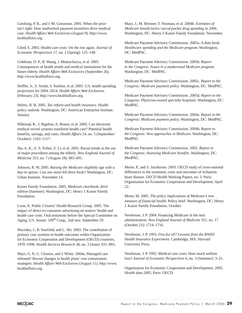Ginsburg, P. B., and J. M. Grossman. 2005. When the price isn't right: How inadvertent payment incentives drive medical care. *Health Affairs Web Exclusives* (August 9). http://www. healthaffairs.org.

Glied, S. 2003. Health care costs: On the rise again. *Journal of Economic Perspectives* 17, no. 2 (Spring): 125–148.

Goldman, D. P., B. Shang, J. Bhattacharya, et al. 2005. Consequences of health trends and medical innovations for the future elderly. *Health Affairs Web Exclusives* (September 26). http://www.healthaffairs.org.

Heffler, S., S. Smith, S. Keehan, et al. 2005. U.S. health spending projections for 2004–2014. *Health Affairs Web Exclusives* (February 23). http://www.healthaffairs.org.

Helms, R. B. 2005. *Tax reform and health insurance*. Health policy outlook. Washington, DC: American Enterprise Institute. January.

Hillestad, R., J. Bigelow, A. Bower, et al. 2005. Can electronic medical record systems transform health care? Potential health benefits, savings, and costs. *Health Affairs* 24, no. 5 (September/ October): 1103–1117.

Jha, A. K., E. S. Fisher, Z. Li, et al. 2005. Racial trends in the use of major procedures among the elderly. *New England Journal of Medicine* 353, no. 7 (August 18): 683–691.

Johnson, R. W. 2005. *Raising the Medicare eligibility age with a buy-in option: Can one stone kill three birds?* Washington, DC: Urban Institute. November 14.

Kaiser Family Foundation. 2005. *Medicare chartbook, third edition* (Summer). Washington, DC: Henry J. Kaiser Family Foundation.

Lurie, P., Public Citizens' Health Research Group. 2005. The impact of direct-to-consumer advertising on seniors' health and health care costs. Oral testimony before the Special Committee on Aging, U.S. Senate. 109<sup>th</sup> Cong., 2nd sess. September 29.

Macinko, J., B. Starfield, and L. Shi. 2003. The contribution of primary care systems to health outcomes within Organization for Economic Cooperation and Development (OECD) countries, 1970–1998. *Health Services Research* 38, no. 3 (June): 831–865.

Mays, G. P., G. Claxton, and J. White. 2004a. Managed care rebound? Recent changes in health plans' cost containment strategies. *Health Affairs Web Exclusives* (August 11). http://www. healthaffairs.org.

Mays, J., M. Brenner, T. Neuman, et al. 2004b. *Estimates of Medicare beneficiaries' out-of-pocket drug spending in 2006*. Washington, DC: Henry J. Kaiser Family Foundation. November.

Medicare Payment Advisory Commission. 2005a. *A data book: Healthcare spending and the Medicare program.* Washington, DC: MedPAC.

Medicare Payment Advisory Commission. 2005b. *Report to the Congress: Issues in a modernized Medicare program.* Washington, DC: MedPAC.

Medicare Payment Advisory Commission. 2005c. *Report to the Congress: Medicare payment policy.* Washington, DC: MedPAC.

Medicare Payment Advisory Commission. 2005d. *Report to the Congress: Physician-owned specialty hospitals.* Washington, DC: MedPAC.

Medicare Payment Advisory Commission. 2004a. *Report to the Congress: Medicare payment policy.* Washington, DC: MedPAC.

Medicare Payment Advisory Commission. 2004b. *Report to the Congress: New approaches in Medicare.* Washington, DC: MedPAC.

Medicare Payment Advisory Commission. 2002. *Report to the Congress: Assessing Medicare benefits.* Washington, DC: MedPAC.

Moise, P., and S. Jacobzone. 2003. OECD study of cross-national differences in the treatment, costs and outcomes of ischaemic heart disease. OECD Health Working Papers, no. 3. Paris: Organisation for Economic Cooperation and Development. April 22.

Moon, M. 2005. *The policy implications of Medicare's new measure of financial health*. Policy brief. Washington, DC: Henry J. Kaiser Family Foundation. October.

Newhouse, J. P. 2004. Financing Medicare in the next administration. *New England Journal of Medicine* 351, no. 17 (October 21): 1714–1716.

Newhouse, J. P. 1993. *Free for all? Lessons from the RAND Health Insurance Experiment*. Cambridge, MA: Harvard University Press.

Newhouse, J. P. 1992. Medical care costs: How much welfare loss? *Journal of Economic Perspectives* 6, no. 3 (Summer): 3–21.

Organisation for Economic Cooperation and Development. 2005. *Health data 2005.* Paris: OECD.